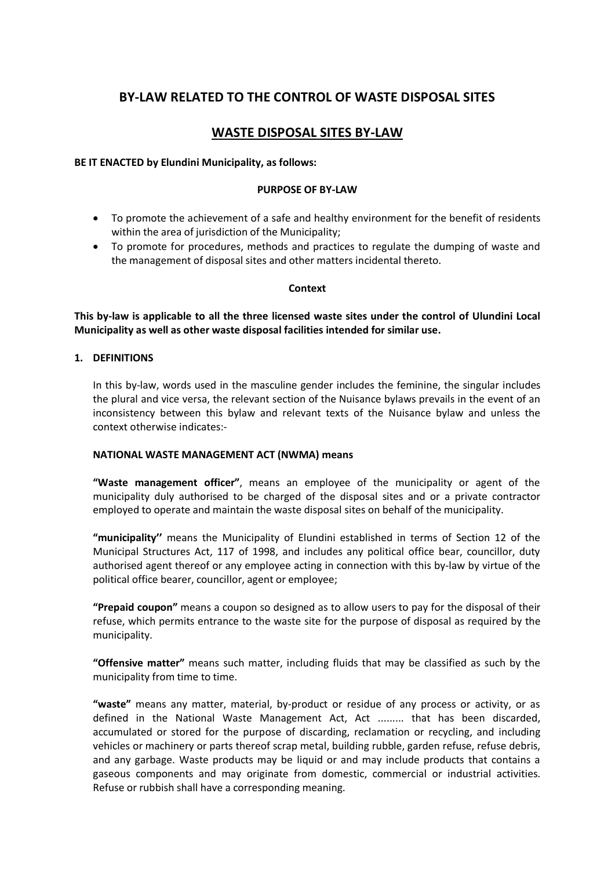# **BY-LAW RELATED TO THE CONTROL OF WASTE DISPOSAL SITES**

# **WASTE DISPOSAL SITES BY-LAW**

## **BE IT ENACTED by Elundini Municipality, as follows:**

#### **PURPOSE OF BY-LAW**

- · To promote the achievement of a safe and healthy environment for the benefit of residents within the area of jurisdiction of the Municipality;
- · To promote for procedures, methods and practices to regulate the dumping of waste and the management of disposal sites and other matters incidental thereto.

### **Context**

**This by-law is applicable to all the three licensed waste sites under the control of Ulundini Local Municipality as well as other waste disposal facilities intended for similar use.**

# **1. DEFINITIONS**

In this by-law, words used in the masculine gender includes the feminine, the singular includes the plural and vice versa, the relevant section of the Nuisance bylaws prevails in the event of an inconsistency between this bylaw and relevant texts of the Nuisance bylaw and unless the context otherwise indicates:-

### **NATIONAL WASTE MANAGEMENT ACT (NWMA) means**

**"Waste management officer"**, means an employee of the municipality or agent of the municipality duly authorised to be charged of the disposal sites and or a private contractor employed to operate and maintain the waste disposal sites on behalf of the municipality.

**"municipality''** means the Municipality of Elundini established in terms of Section 12 of the Municipal Structures Act, 117 of 1998, and includes any political office bear, councillor, duty authorised agent thereof or any employee acting in connection with this by-law by virtue of the political office bearer, councillor, agent or employee;

**"Prepaid coupon"** means a coupon so designed as to allow users to pay for the disposal of their refuse, which permits entrance to the waste site for the purpose of disposal as required by the municipality.

**"Offensive matter"** means such matter, including fluids that may be classified as such by the municipality from time to time.

**"waste"** means any matter, material, by-product or residue of any process or activity, or as defined in the National Waste Management Act, Act ......... that has been discarded, accumulated or stored for the purpose of discarding, reclamation or recycling, and including vehicles or machinery or parts thereof scrap metal, building rubble, garden refuse, refuse debris, and any garbage. Waste products may be liquid or and may include products that contains a gaseous components and may originate from domestic, commercial or industrial activities. Refuse or rubbish shall have a corresponding meaning.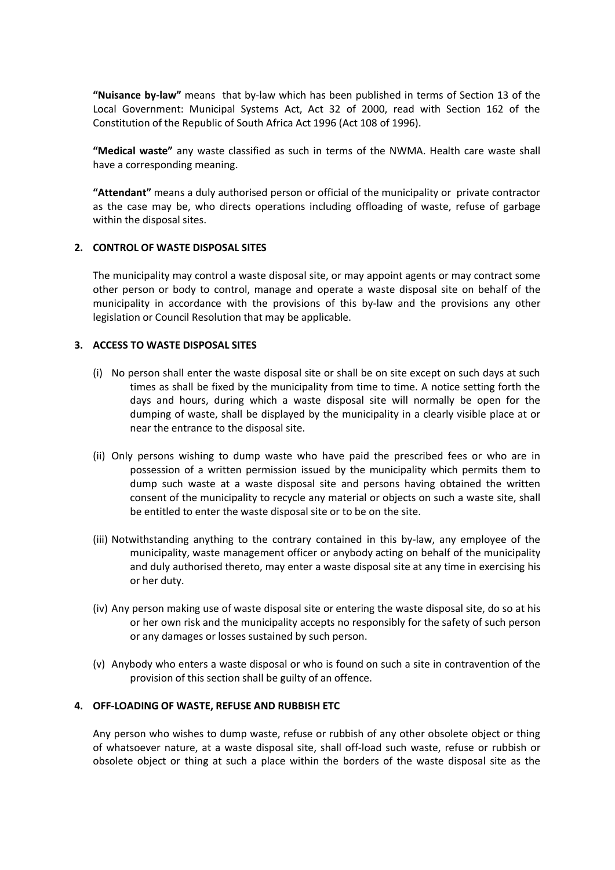**"Nuisance by-law"** means that by-law which has been published in terms of Section 13 of the Local Government: Municipal Systems Act, Act 32 of 2000, read with Section 162 of the Constitution of the Republic of South Africa Act 1996 (Act 108 of 1996).

**"Medical waste"** any waste classified as such in terms of the NWMA. Health care waste shall have a corresponding meaning.

**"Attendant"** means a duly authorised person or official of the municipality or private contractor as the case may be, who directs operations including offloading of waste, refuse of garbage within the disposal sites.

### **2. CONTROL OF WASTE DISPOSAL SITES**

The municipality may control a waste disposal site, or may appoint agents or may contract some other person or body to control, manage and operate a waste disposal site on behalf of the municipality in accordance with the provisions of this by-law and the provisions any other legislation or Council Resolution that may be applicable.

### **3. ACCESS TO WASTE DISPOSAL SITES**

- (i) No person shall enter the waste disposal site or shall be on site except on such days at such times as shall be fixed by the municipality from time to time. A notice setting forth the days and hours, during which a waste disposal site will normally be open for the dumping of waste, shall be displayed by the municipality in a clearly visible place at or near the entrance to the disposal site.
- (ii) Only persons wishing to dump waste who have paid the prescribed fees or who are in possession of a written permission issued by the municipality which permits them to dump such waste at a waste disposal site and persons having obtained the written consent of the municipality to recycle any material or objects on such a waste site, shall be entitled to enter the waste disposal site or to be on the site.
- (iii) Notwithstanding anything to the contrary contained in this by-law, any employee of the municipality, waste management officer or anybody acting on behalf of the municipality and duly authorised thereto, may enter a waste disposal site at any time in exercising his or her duty.
- (iv) Any person making use of waste disposal site or entering the waste disposal site, do so at his or her own risk and the municipality accepts no responsibly for the safety of such person or any damages or losses sustained by such person.
- (v) Anybody who enters a waste disposal or who is found on such a site in contravention of the provision of this section shall be guilty of an offence.

## **4. OFF-LOADING OF WASTE, REFUSE AND RUBBISH ETC**

Any person who wishes to dump waste, refuse or rubbish of any other obsolete object or thing of whatsoever nature, at a waste disposal site, shall off-load such waste, refuse or rubbish or obsolete object or thing at such a place within the borders of the waste disposal site as the